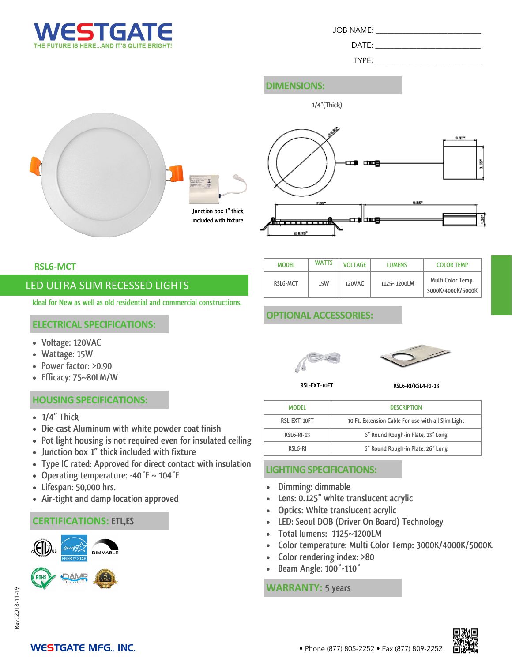

DATE:

TYPE:

## **DIMENSIONS:**







**RSL6-MCT**

## LED ULTRA SLIM RECESSED LIGHTS

**Ideal for New as well as old residential and commercial constructions.**

#### **ELECTRICAL SPECIFICATIONS:**

- **Voltage: 120VAC**
- **Wattage: 15W**
- **Power factor: >0.90**
- **Efficacy: 75~80LM/W**

#### **HOUSING SPECIFICATIONS:**

- **1/4" Thick**
- **Die-cast Aluminum with white powder coat finish**
- **Pot light housing is not required even for insulated ceiling**
- **Junction box 1" thick included with fixture**
- **Type IC rated: Approved for direct contact with insulation**
- **Operating temperature: -40°F ~ 104°F**
- **Lifespan: 50,000 hrs.**
- **Air-tight and damp location approved**

## **CERTIFICATIONS: ETL,ES**





| <b>MODEL</b> | <b>WATTS</b> | <b>VOLTAGE</b> | <b>LUMENS</b> | <b>COLOR TEMP</b>                      |
|--------------|--------------|----------------|---------------|----------------------------------------|
| RSLG-MCT     | 15W          | 120VAC         | 1125~1200LM   | Multi Color Temp.<br>3000K/4000K/5000K |

## **OPTIONAL ACCESSORIES:**





**RSL-EXT-10FT**

**RSL6-RI/RSL4-RI-13**

| <b>MODEL</b>      | <b>DESCRIPTION</b>                                 |
|-------------------|----------------------------------------------------|
| RSL-EXT-10FT      | 10 Ft. Extension Cable For use with all Slim Light |
| <b>RSLG-RI-13</b> | 6" Round Rough-in Plate, 13" Long                  |
| RSLG-RI           | 6" Round Rough-in Plate, 26" Long                  |

## **LIGHTING SPECIFICATIONS:**

- **Dimming: dimmable**
- **Lens: 0.125" white translucent acrylic**
- **Optics: White translucent acrylic**
- **LED: Seoul DOB (Driver On Board) Technology**
- **Total lumens: 1125~1200LM**
- **Color temperature: Multi Color Temp: 3000K/4000K/5000K.**
- **Color rendering index: >80**
- **Beam Angle: 100°-110°**

#### **WARRANTY: 5 years**